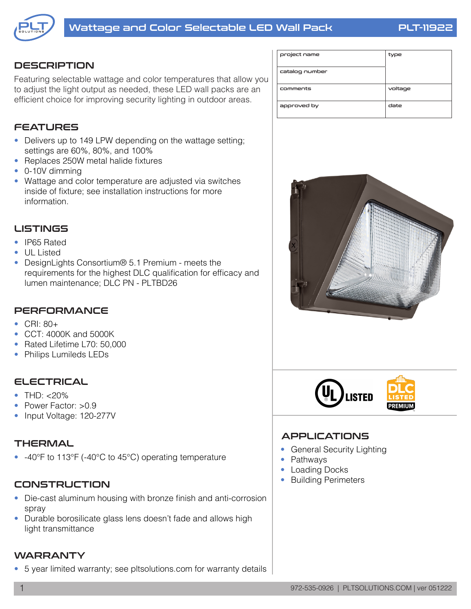

### **DESCRIPTION**

Featuring selectable wattage and color temperatures that allow you to adjust the light output as needed, these LED wall packs are an efficient choice for improving security lighting in outdoor areas.

### **FEATURES**

- Delivers up to 149 LPW depending on the wattage setting; settings are 60%, 80%, and 100%
- Replaces 250W metal halide fixtures
- 0-10V dimming
- Wattage and color temperature are adjusted via switches inside of fixture; see installation instructions for more information.

#### LISTINGS

- IP65 Rated
- UL Listed
- DesignLights Consortium<sup>®</sup> 5.1 Premium meets the requirements for the highest DLC qualification for efficacy and lumen maintenance; DLC PN - PLTBD26

### **PERFORMANCE**

- CRI: 80+
- CCT: 4000K and 5000K
- Rated Lifetime L70: 50,000
- Philips Lumileds LEDs

### ELECTRICAL

- THD:  $< 20\%$
- Power Factor: >0.9
- Input Voltage: 120-277V

# **THERMAL**

• -40°F to 113°F (-40°C to 45°C) operating temperature

### **CONSTRUCTION**

- Die-cast aluminum housing with bronze finish and anti-corrosion spray
- Durable borosilicate glass lens doesn't fade and allows high light transmittance

# WARRANTY

• 5 year limited warranty; see pltsolutions.com for warranty details

| project name   | type    |
|----------------|---------|
| catalog number |         |
| comments       | voltage |
| approved by    | date    |





#### **APPLICATIONS**

- General Security Lighting
- Pathways
- Loading Docks
- Building Perimeters